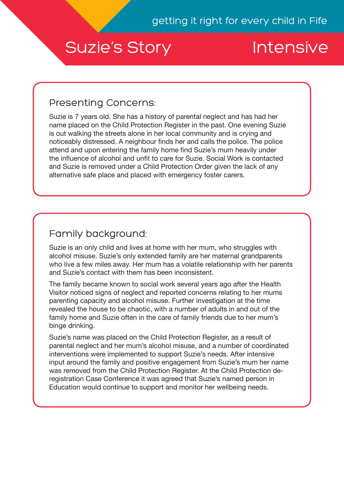# Suzie's Story **Intensive**

### Presenting Concerns:

Suzie is 7 years old. She has a history of parental neglect and has had her name placed on the Child Protection Register in the past. One evening Suzie is out walking the streets alone in her local community and is crying and noticeably distressed. A neighbour finds her and calls the police. The police attend and upon entering the family home find Suzie's mum heavily under the influence of alcohol and unfit to care for Suzie. Social Work is contacted and Suzie is removed under a Child Protection Order given the lack of any alternative safe place and placed with emergency foster carers.

# Family background:

Suzie is an only child and lives at home with her mum, who struggles with alcohol misuse. Suzie's only extended family are her maternal grandparents who live a few miles away. Her mum has a volatile relationship with her parents and Suzie's contact with them has been inconsistent.

The family became known to social work several years ago after the Health Visitor noticed signs of neglect and reported concerns relating to her mums parenting capacity and alcohol misuse. Further investigation at the time revealed the house to be chaotic, with a number of adults in and out of the family home and Suzie often in the care of family friends due to her mum's binge drinking.

Suzie's name was placed on the Child Protection Register, as a result of parental neglect and her mum's alcohol misuse, and a number of coordinated interventions were implemented to support Suzie's needs. After intensive input around the family and positive engagement from Suzie's mum her name was removed from the Child Protection Register. At the Child Protection deregistration Case Conference it was agreed that Suzie's named person in Education would continue to support and monitor her wellbeing needs.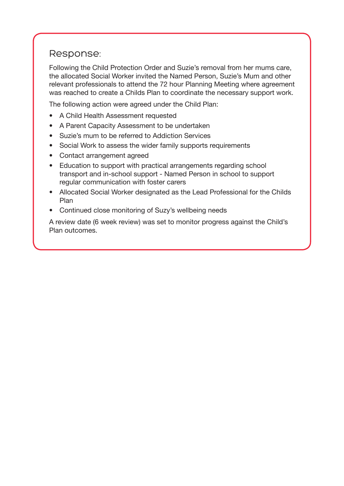#### Response:

Following the Child Protection Order and Suzie's removal from her mums care, the allocated Social Worker invited the Named Person, Suzie's Mum and other relevant professionals to attend the 72 hour Planning Meeting where agreement was reached to create a Childs Plan to coordinate the necessary support work.

The following action were agreed under the Child Plan:

- A Child Health Assessment requested
- A Parent Capacity Assessment to be undertaken
- Suzie's mum to be referred to Addiction Services
- Social Work to assess the wider family supports requirements
- Contact arrangement agreed
- Education to support with practical arrangements regarding school transport and in-school support - Named Person in school to support regular communication with foster carers
- Allocated Social Worker designated as the Lead Professional for the Childs Plan
- Continued close monitoring of Suzy's wellbeing needs

A review date (6 week review) was set to monitor progress against the Child's Plan outcomes.